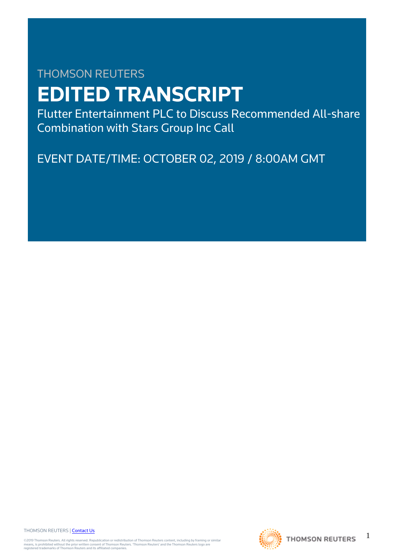# THOMSON REUTERS **EDITED TRANSCRIPT**

Flutter Entertainment PLC to Discuss Recommended All-share Combination with Stars Group Inc Call

EVENT DATE/TIME: OCTOBER 02, 2019 / 8:00AM GMT

THOMSON REUTERS | [Contact Us](https://my.thomsonreuters.com/ContactUsNew)

©2019 Thomson Reuters. All rights reserved. Republication or redistribution of Thomson Reuters content, including by framing or similar<br>means, is prohibited without the prior written consent of Thomson Reuters. "Thomson Re



1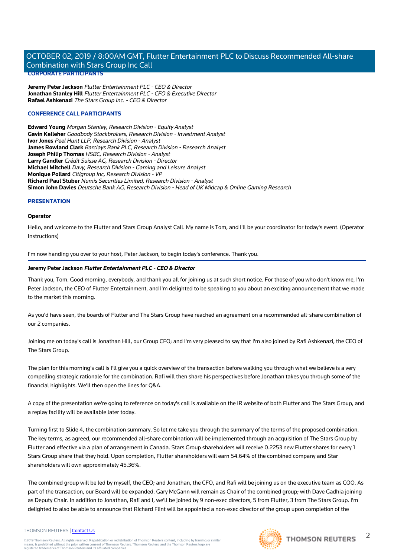**Jeremy Peter Jackson** Flutter Entertainment PLC - CEO & Director **Jonathan Stanley Hill** Flutter Entertainment PLC - CFO & Executive Director **Rafael Ashkenazi** The Stars Group Inc. - CEO & Director

# **CONFERENCE CALL PARTICIPANTS**

**Edward Young** Morgan Stanley, Research Division - Equity Analyst **Gavin Kelleher** Goodbody Stockbrokers, Research Division - Investment Analyst **Ivor Jones** Peel Hunt LLP, Research Division - Analyst **James Rowland Clark** Barclays Bank PLC, Research Division - Research Analyst **Joseph Philip Thomas** HSBC, Research Division - Analyst **Larry Gandler** Crédit Suisse AG, Research Division - Director **Michael Mitchell** Davy, Research Division - Gaming and Leisure Analyst **Monique Pollard** Citigroup Inc, Research Division - VP **Richard Paul Stuber** Numis Securities Limited, Research Division - Analyst **Simon John Davies** Deutsche Bank AG, Research Division - Head of UK Midcap & Online Gaming Research

# **PRESENTATION**

# **Operator**

Hello, and welcome to the Flutter and Stars Group Analyst Call. My name is Tom, and I'll be your coordinator for today's event. (Operator Instructions)

I'm now handing you over to your host, Peter Jackson, to begin today's conference. Thank you.

# **Jeremy Peter Jackson Flutter Entertainment PLC - CEO & Director**

Thank you, Tom. Good morning, everybody, and thank you all for joining us at such short notice. For those of you who don't know me, I'm Peter Jackson, the CEO of Flutter Entertainment, and I'm delighted to be speaking to you about an exciting announcement that we made to the market this morning.

As you'd have seen, the boards of Flutter and The Stars Group have reached an agreement on a recommended all-share combination of our 2 companies.

Joining me on today's call is Jonathan Hill, our Group CFO; and I'm very pleased to say that I'm also joined by Rafi Ashkenazi, the CEO of The Stars Group.

The plan for this morning's call is I'll give you a quick overview of the transaction before walking you through what we believe is a very compelling strategic rationale for the combination. Rafi will then share his perspectives before Jonathan takes you through some of the financial highlights. We'll then open the lines for Q&A.

A copy of the presentation we're going to reference on today's call is available on the IR website of both Flutter and The Stars Group, and a replay facility will be available later today.

Turning first to Slide 4, the combination summary. So let me take you through the summary of the terms of the proposed combination. The key terms, as agreed, our recommended all-share combination will be implemented through an acquisition of The Stars Group by Flutter and effective via a plan of arrangement in Canada. Stars Group shareholders will receive 0.2253 new Flutter shares for every 1 Stars Group share that they hold. Upon completion, Flutter shareholders will earn 54.64% of the combined company and Star shareholders will own approximately 45.36%.

The combined group will be led by myself, the CEO; and Jonathan, the CFO, and Rafi will be joining us on the executive team as COO. As part of the transaction, our Board will be expanded. Gary McGann will remain as Chair of the combined group; with Dave Gadhia joining as Deputy Chair. In addition to Jonathan, Rafi and I, we'll be joined by 9 non-exec directors, 5 from Flutter, 3 from The Stars Group. I'm delighted to also be able to announce that Richard Flint will be appointed a non-exec director of the group upon completion of the

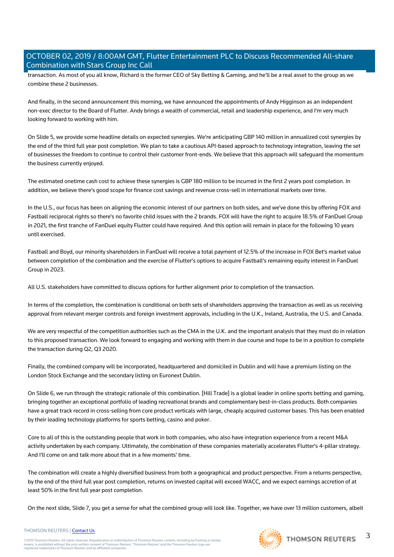transaction. As most of you all know, Richard is the former CEO of Sky Betting & Gaming, and he'll be a real asset to the group as we combine these 2 businesses.

And finally, in the second announcement this morning, we have announced the appointments of Andy Higginson as an independent non-exec director to the Board of Flutter. Andy brings a wealth of commercial, retail and leadership experience, and I'm very much looking forward to working with him.

On Slide 5, we provide some headline details on expected synergies. We're anticipating GBP 140 million in annualized cost synergies by the end of the third full year post completion. We plan to take a cautious API-based approach to technology integration, leaving the set of businesses the freedom to continue to control their customer front-ends. We believe that this approach will safeguard the momentum the business currently enjoyed.

The estimated onetime cash cost to achieve these synergies is GBP 180 million to be incurred in the first 2 years post completion. In addition, we believe there's good scope for finance cost savings and revenue cross-sell in international markets over time.

In the U.S., our focus has been on aligning the economic interest of our partners on both sides, and we've done this by offering FOX and Fastball reciprocal rights so there's no favorite child issues with the 2 brands. FOX will have the right to acquire 18.5% of FanDuel Group in 2021, the first tranche of FanDuel equity Flutter could have required. And this option will remain in place for the following 10 years until exercised.

Fastball and Boyd, our minority shareholders in FanDuel will receive a total payment of 12.5% of the increase in FOX Bet's market value between completion of the combination and the exercise of Flutter's options to acquire Fastball's remaining equity interest in FanDuel Group in 2023.

All U.S. stakeholders have committed to discuss options for further alignment prior to completion of the transaction.

In terms of the completion, the combination is conditional on both sets of shareholders approving the transaction as well as us receiving approval from relevant merger controls and foreign investment approvals, including in the U.K., Ireland, Australia, the U.S. and Canada.

We are very respectful of the competition authorities such as the CMA in the U.K. and the important analysis that they must do in relation to this proposed transaction. We look forward to engaging and working with them in due course and hope to be in a position to complete the transaction during Q2, Q3 2020.

Finally, the combined company will be incorporated, headquartered and domiciled in Dublin and will have a premium listing on the London Stock Exchange and the secondary listing on Euronext Dublin.

On Slide 6, we run through the strategic rationale of this combination. [Hill Trade] is a global leader in online sports betting and gaming, bringing together an exceptional portfolio of leading recreational brands and complementary best-in-class products. Both companies have a great track record in cross-selling from core product verticals with large, cheaply acquired customer bases. This has been enabled by their leading technology platforms for sports betting, casino and poker.

Core to all of this is the outstanding people that work in both companies, who also have integration experience from a recent M&A activity undertaken by each company. Ultimately, the combination of these companies materially accelerates Flutter's 4-pillar strategy. And I'll come on and talk more about that in a few moments' time.

The combination will create a highly diversified business from both a geographical and product perspective. From a returns perspective, by the end of the third full year post completion, returns on invested capital will exceed WACC, and we expect earnings accretion of at least 50% in the first full year post completion.

On the next slide, Slide 7, you get a sense for what the combined group will look like. Together, we have over 13 million customers, albeit



THOMSON REUTERS | [Contact Us](https://my.thomsonreuters.com/ContactUsNew)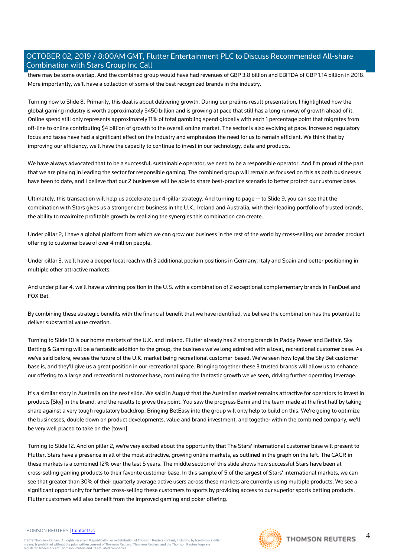there may be some overlap. And the combined group would have had revenues of GBP 3.8 billion and EBITDA of GBP 1.14 billion in 2018. More importantly, we'll have a collection of some of the best recognized brands in the industry.

Turning now to Slide 8. Primarily, this deal is about delivering growth. During our prelims result presentation, I highlighted how the global gaming industry is worth approximately \$450 billion and is growing at pace that still has a long runway of growth ahead of it. Online spend still only represents approximately 11% of total gambling spend globally with each 1 percentage point that migrates from off-line to online contributing \$4 billion of growth to the overall online market. The sector is also evolving at pace. Increased regulatory focus and taxes have had a significant effect on the industry and emphasizes the need for us to remain efficient. We think that by improving our efficiency, we'll have the capacity to continue to invest in our technology, data and products.

We have always advocated that to be a successful, sustainable operator, we need to be a responsible operator. And I'm proud of the part that we are playing in leading the sector for responsible gaming. The combined group will remain as focused on this as both businesses have been to date, and I believe that our 2 businesses will be able to share best-practice scenario to better protect our customer base.

Ultimately, this transaction will help us accelerate our 4-pillar strategy. And turning to page -- to Slide 9, you can see that the combination with Stars gives us a stronger core business in the U.K., Ireland and Australia, with their leading portfolio of trusted brands, the ability to maximize profitable growth by realizing the synergies this combination can create.

Under pillar 2, I have a global platform from which we can grow our business in the rest of the world by cross-selling our broader product offering to customer base of over 4 million people.

Under pillar 3, we'll have a deeper local reach with 3 additional podium positions in Germany, Italy and Spain and better positioning in multiple other attractive markets.

And under pillar 4, we'll have a winning position in the U.S. with a combination of 2 exceptional complementary brands in FanDuel and FOX Bet.

By combining these strategic benefits with the financial benefit that we have identified, we believe the combination has the potential to deliver substantial value creation.

Turning to Slide 10 is our home markets of the U.K. and Ireland. Flutter already has 2 strong brands in Paddy Power and Betfair. Sky Betting & Gaming will be a fantastic addition to the group, the business we've long admired with a loyal, recreational customer base. As we've said before, we see the future of the U.K. market being recreational customer-based. We've seen how loyal the Sky Bet customer base is, and they'll give us a great position in our recreational space. Bringing together these 3 trusted brands will allow us to enhance our offering to a large and recreational customer base, continuing the fantastic growth we've seen, driving further operating leverage.

It's a similar story in Australia on the next slide. We said in August that the Australian market remains attractive for operators to invest in products [Sky] in the brand, and the results to prove this point. You saw the progress Barni and the team made at the first half by taking share against a very tough regulatory backdrop. Bringing BetEasy into the group will only help to build on this. We're going to optimize the businesses, double down on product developments, value and brand investment, and together within the combined company, we'll be very well placed to take on the [town].

Turning to Slide 12. And on pillar 2, we're very excited about the opportunity that The Stars' international customer base will present to Flutter. Stars have a presence in all of the most attractive, growing online markets, as outlined in the graph on the left. The CAGR in these markets is a combined 12% over the last 5 years. The middle section of this slide shows how successful Stars have been at cross-selling gaming products to their favorite customer base. In this sample of 5 of the largest of Stars' international markets, we can see that greater than 30% of their quarterly average active users across these markets are currently using multiple products. We see a significant opportunity for further cross-selling these customers to sports by providing access to our superior sports betting products. Flutter customers will also benefit from the improved gaming and poker offering.

#### THOMSON REUTERS | [Contact Us](https://my.thomsonreuters.com/ContactUsNew)

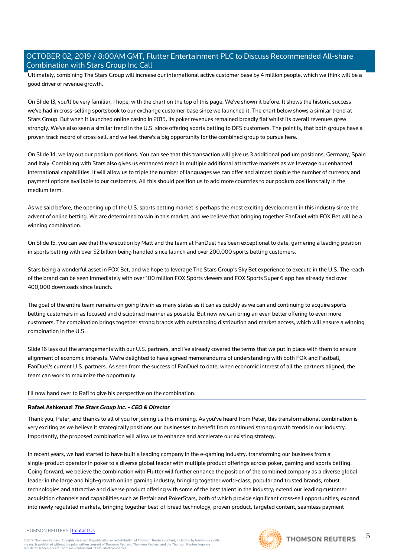Ultimately, combining The Stars Group will increase our international active customer base by 4 million people, which we think will be a good driver of revenue growth.

On Slide 13, you'll be very familiar, I hope, with the chart on the top of this page. We've shown it before. It shows the historic success we've had in cross-selling sportsbook to our exchange customer base since we launched it. The chart below shows a similar trend at Stars Group. But when it launched online casino in 2015, its poker revenues remained broadly flat whilst its overall revenues grew strongly. We've also seen a similar trend in the U.S. since offering sports betting to DFS customers. The point is, that both groups have a proven track record of cross-sell, and we feel there's a big opportunity for the combined group to pursue here.

On Slide 14, we lay out our podium positions. You can see that this transaction will give us 3 additional podium positions, Germany, Spain and Italy. Combining with Stars also gives us enhanced reach in multiple additional attractive markets as we leverage our enhanced international capabilities. It will allow us to triple the number of languages we can offer and almost double the number of currency and payment options available to our customers. All this should position us to add more countries to our podium positions tally in the medium term.

As we said before, the opening up of the U.S. sports betting market is perhaps the most exciting development in this industry since the advent of online betting. We are determined to win in this market, and we believe that bringing together FanDuel with FOX Bet will be a winning combination.

On Slide 15, you can see that the execution by Matt and the team at FanDuel has been exceptional to date, garnering a leading position in sports betting with over \$2 billion being handled since launch and over 200,000 sports betting customers.

Stars being a wonderful asset in FOX Bet, and we hope to leverage The Stars Group's Sky Bet experience to execute in the U.S. The reach of the brand can be seen immediately with over 100 million FOX Sports viewers and FOX Sports Super 6 app has already had over 400,000 downloads since launch.

The goal of the entire team remains on going live in as many states as it can as quickly as we can and continuing to acquire sports betting customers in as focused and disciplined manner as possible. But now we can bring an even better offering to even more customers. The combination brings together strong brands with outstanding distribution and market access, which will ensure a winning combination in the U.S.

Slide 16 lays out the arrangements with our U.S. partners, and I've already covered the terms that we put in place with them to ensure alignment of economic interests. We're delighted to have agreed memorandums of understanding with both FOX and Fastball, FanDuel's current U.S. partners. As seen from the success of FanDuel to date, when economic interest of all the partners aligned, the team can work to maximize the opportunity.

I'll now hand over to Rafi to give his perspective on the combination.

# **Rafael Ashkenazi The Stars Group Inc. - CEO & Director**

Thank you, Peter, and thanks to all of you for joining us this morning. As you've heard from Peter, this transformational combination is very exciting as we believe it strategically positions our businesses to benefit from continued strong growth trends in our industry. Importantly, the proposed combination will allow us to enhance and accelerate our existing strategy.

In recent years, we had started to have built a leading company in the e-gaming industry, transforming our business from a single-product operator in poker to a diverse global leader with multiple product offerings across poker, gaming and sports betting. Going forward, we believe the combination with Flutter will further enhance the position of the combined company as a diverse global leader in the large and high-growth online gaming industry, bringing together world-class, popular and trusted brands, robust technologies and attractive and diverse product offering with some of the best talent in the industry; extend our leading customer acquisition channels and capabilities such as Betfair and PokerStars, both of which provide significant cross-sell opportunities; expand into newly regulated markets, bringing together best-of-breed technology, proven product, targeted content, seamless payment

# THOMSON REUTERS | [Contact Us](https://my.thomsonreuters.com/ContactUsNew)

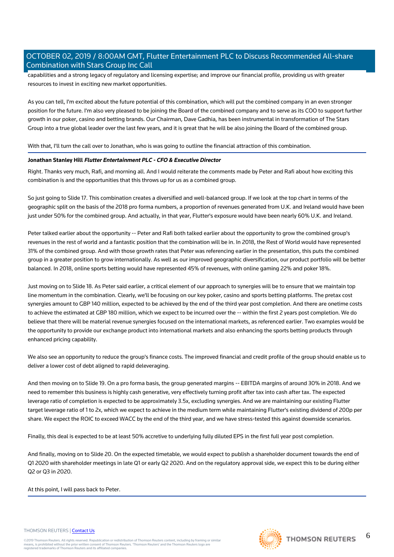capabilities and a strong legacy of regulatory and licensing expertise; and improve our financial profile, providing us with greater resources to invest in exciting new market opportunities.

As you can tell, I'm excited about the future potential of this combination, which will put the combined company in an even stronger position for the future. I'm also very pleased to be joining the Board of the combined company and to serve as its COO to support further growth in our poker, casino and betting brands. Our Chairman, Dave Gadhia, has been instrumental in transformation of The Stars Group into a true global leader over the last few years, and it is great that he will be also joining the Board of the combined group.

With that, I'll turn the call over to Jonathan, who is was going to outline the financial attraction of this combination.

# **Jonathan Stanley Hill Flutter Entertainment PLC - CFO & Executive Director**

Right. Thanks very much, Rafi, and morning all. And I would reiterate the comments made by Peter and Rafi about how exciting this combination is and the opportunities that this throws up for us as a combined group.

So just going to Slide 17. This combination creates a diversified and well-balanced group. If we look at the top chart in terms of the geographic split on the basis of the 2018 pro forma numbers, a proportion of revenues generated from U.K. and Ireland would have been just under 50% for the combined group. And actually, in that year, Flutter's exposure would have been nearly 60% U.K. and Ireland.

Peter talked earlier about the opportunity -- Peter and Rafi both talked earlier about the opportunity to grow the combined group's revenues in the rest of world and a fantastic position that the combination will be in. In 2018, the Rest of World would have represented 31% of the combined group. And with those growth rates that Peter was referencing earlier in the presentation, this puts the combined group in a greater position to grow internationally. As well as our improved geographic diversification, our product portfolio will be better balanced. In 2018, online sports betting would have represented 45% of revenues, with online gaming 22% and poker 18%.

Just moving on to Slide 18. As Peter said earlier, a critical element of our approach to synergies will be to ensure that we maintain top line momentum in the combination. Clearly, we'll be focusing on our key poker, casino and sports betting platforms. The pretax cost synergies amount to GBP 140 million, expected to be achieved by the end of the third year post completion. And there are onetime costs to achieve the estimated at GBP 180 million, which we expect to be incurred over the -- within the first 2 years post completion. We do believe that there will be material revenue synergies focused on the international markets, as referenced earlier. Two examples would be the opportunity to provide our exchange product into international markets and also enhancing the sports betting products through enhanced pricing capability.

We also see an opportunity to reduce the group's finance costs. The improved financial and credit profile of the group should enable us to deliver a lower cost of debt aligned to rapid deleveraging.

And then moving on to Slide 19. On a pro forma basis, the group generated margins -- EBITDA margins of around 30% in 2018. And we need to remember this business is highly cash generative, very effectively turning profit after tax into cash after tax. The expected leverage ratio of completion is expected to be approximately 3.5x, excluding synergies. And we are maintaining our existing Flutter target leverage ratio of 1 to 2x, which we expect to achieve in the medium term while maintaining Flutter's existing dividend of 200p per share. We expect the ROIC to exceed WACC by the end of the third year, and we have stress-tested this against downside scenarios.

Finally, this deal is expected to be at least 50% accretive to underlying fully diluted EPS in the first full year post completion.

And finally, moving on to Slide 20. On the expected timetable, we would expect to publish a shareholder document towards the end of Q1 2020 with shareholder meetings in late Q1 or early Q2 2020. And on the regulatory approval side, we expect this to be during either Q2 or Q3 in 2020.

# At this point, I will pass back to Peter.

#### THOMSON REUTERS | [Contact Us](https://my.thomsonreuters.com/ContactUsNew)

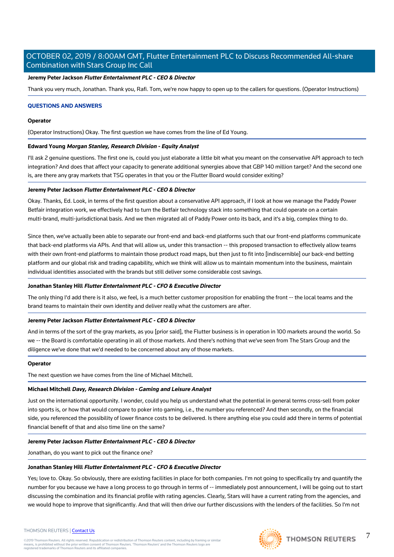# **Jeremy Peter Jackson Flutter Entertainment PLC - CEO & Director**

Thank you very much, Jonathan. Thank you, Rafi. Tom, we're now happy to open up to the callers for questions. (Operator Instructions)

# **QUESTIONS AND ANSWERS**

# **Operator**

(Operator Instructions) Okay. The first question we have comes from the line of Ed Young.

#### **Edward Young Morgan Stanley, Research Division - Equity Analyst**

I'll ask 2 genuine questions. The first one is, could you just elaborate a little bit what you meant on the conservative API approach to tech integration? And does that affect your capacity to generate additional synergies above that GBP 140 million target? And the second one is, are there any gray markets that TSG operates in that you or the Flutter Board would consider exiting?

# **Jeremy Peter Jackson Flutter Entertainment PLC - CEO & Director**

Okay. Thanks, Ed. Look, in terms of the first question about a conservative API approach, if I look at how we manage the Paddy Power Betfair integration work, we effectively had to turn the Betfair technology stack into something that could operate on a certain multi-brand, multi-jurisdictional basis. And we then migrated all of Paddy Power onto its back, and it's a big, complex thing to do.

Since then, we've actually been able to separate our front-end and back-end platforms such that our front-end platforms communicate that back-end platforms via APIs. And that will allow us, under this transaction -- this proposed transaction to effectively allow teams with their own front-end platforms to maintain those product road maps, but then just to fit into [indiscernible] our back-end betting platform and our global risk and trading capability, which we think will allow us to maintain momentum into the business, maintain individual identities associated with the brands but still deliver some considerable cost savings.

# **Jonathan Stanley Hill Flutter Entertainment PLC - CFO & Executive Director**

The only thing I'd add there is it also, we feel, is a much better customer proposition for enabling the front -- the local teams and the brand teams to maintain their own identity and deliver really what the customers are after.

# **Jeremy Peter Jackson Flutter Entertainment PLC - CEO & Director**

And in terms of the sort of the gray markets, as you [prior said], the Flutter business is in operation in 100 markets around the world. So we -- the Board is comfortable operating in all of those markets. And there's nothing that we've seen from The Stars Group and the diligence we've done that we'd needed to be concerned about any of those markets.

#### **Operator**

The next question we have comes from the line of Michael Mitchell.

# **Michael Mitchell Davy, Research Division - Gaming and Leisure Analyst**

Just on the international opportunity. I wonder, could you help us understand what the potential in general terms cross-sell from poker into sports is, or how that would compare to poker into gaming, i.e., the number you referenced? And then secondly, on the financial side, you referenced the possibility of lower finance costs to be delivered. Is there anything else you could add there in terms of potential financial benefit of that and also time line on the same?

#### **Jeremy Peter Jackson Flutter Entertainment PLC - CEO & Director**

Jonathan, do you want to pick out the finance one?

# **Jonathan Stanley Hill Flutter Entertainment PLC - CFO & Executive Director**

Yes; love to. Okay. So obviously, there are existing facilities in place for both companies. I'm not going to specifically try and quantify the number for you because we have a long process to go through in terms of -- immediately post announcement, I will be going out to start discussing the combination and its financial profile with rating agencies. Clearly, Stars will have a current rating from the agencies, and we would hope to improve that significantly. And that will then drive our further discussions with the lenders of the facilities. So I'm not



7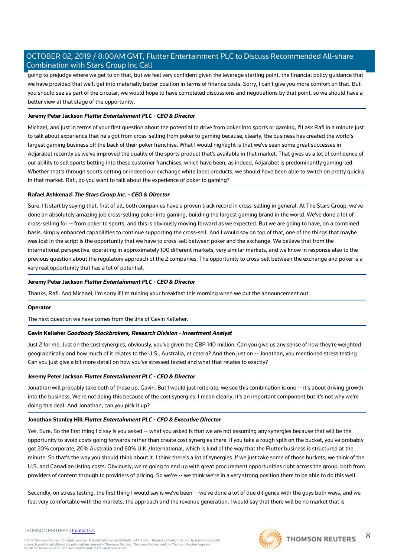going to prejudge where we get to on that, but we feel very confident given the leverage starting point, the financial policy guidance that we have provided that we'll get into materially better position in terms of finance costs. Sorry, I can't give you more comfort on that. But you should see as part of the circular, we would hope to have completed discussions and negotiations by that point, so we should have a better view at that stage of the opportunity.

# **Jeremy Peter Jackson Flutter Entertainment PLC - CEO & Director**

Michael, and just in terms of your first question about the potential to drive from poker into sports or gaming, I'll ask Rafi in a minute just to talk about experience that he's got from cross-selling from poker to gaming because, clearly, the business has created the world's largest gaming business off the back of their poker franchise. What I would highlight is that we've seen some great successes in Adjarabet recently as we've improved the quality of the sports product that's available in that market. That gives us a lot of confidence of our ability to sell sports betting into these customer franchises, which have been, as indeed, Adjarabet is predominantly gaming-led. Whether that's through sports betting or indeed our exchange white label products, we should have been able to switch on pretty quickly in that market. Rafi, do you want to talk about the experience of poker to gaming?

# **Rafael Ashkenazi The Stars Group Inc. - CEO & Director**

Sure. I'll start by saying that, first of all, both companies have a proven track record in cross-selling in general. At The Stars Group, we've done an absolutely amazing job cross-selling poker into gaming, building the largest gaming brand in the world. We've done a lot of cross-selling for -- from poker to sports, and this is obviously moving forward as we expected. But we are going to have, on a combined basis, simply enhanced capabilities to continue supporting the cross-sell. And I would say on top of that, one of the things that maybe was lost in the script is the opportunity that we have to cross-sell between poker and the exchange. We believe that from the international perspective, operating in approximately 100 different markets, very similar markets, and we know in response also to the previous question about the regulatory approach of the 2 companies. The opportunity to cross-sell between the exchange and poker is a very real opportunity that has a lot of potential.

# **Jeremy Peter Jackson Flutter Entertainment PLC - CEO & Director**

Thanks, Rafi. And Michael, I'm sorry if I'm ruining your breakfast this morning when we put the announcement out.

# **Operator**

The next question we have comes from the line of Gavin Kelleher.

# **Gavin Kelleher Goodbody Stockbrokers, Research Division - Investment Analyst**

Just 2 for me. Just on the cost synergies, obviously, you've given the GBP 140 million. Can you give us any sense of how they're weighted geographically and how much of it relates to the U.S., Australia, et cetera? And then just on -- Jonathan, you mentioned stress testing. Can you just give a bit more detail on how you've stressed tested and what that relates to exactly?

# **Jeremy Peter Jackson Flutter Entertainment PLC - CEO & Director**

Jonathan will probably take both of those up, Gavin. But I would just reiterate, we see this combination is one -- it's about driving growth into the business. We're not doing this because of the cost synergies. I mean clearly, it's an important component but it's not why we're doing this deal. And Jonathan, can you pick it up?

# **Jonathan Stanley Hill Flutter Entertainment PLC - CFO & Executive Director**

Yes. Sure. So the first thing I'd say is you asked -- what you asked is that we are not assuming any synergies because that will be the opportunity to avoid costs going forwards rather than create cost synergies there. If you take a rough split on the bucket, you've probably got 20% corporate, 20% Australia and 60% U.K./International, which is kind of the way that the Flutter business is structured at the minute. So that's the way you should think about it. I think there's a lot of synergies. If we just take some of those buckets, we think of the U.S. and Canadian listing costs. Obviously, we're going to end up with great procurement opportunities right across the group, both from providers of content through to providers of pricing. So we're -- we think we're in a very strong position there to be able to do this well.

Secondly, on stress testing, the first thing I would say is we've been -- we've done a lot of due diligence with the guys both ways, and we feel very comfortable with the markets, the approach and the revenue generation. I would say that there will be no market that is

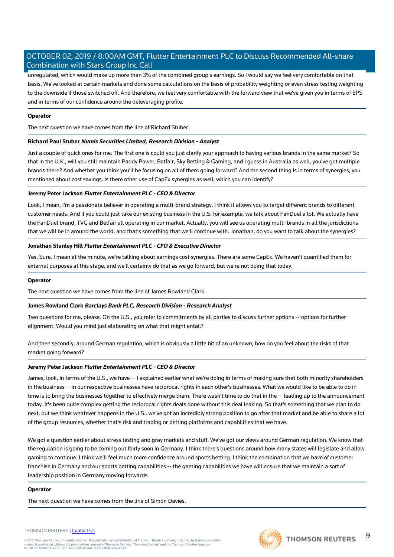unregulated, which would make up more than 3% of the combined group's earnings. So I would say we feel very comfortable on that basis. We've looked at certain markets and done some calculations on the basis of probability weighting or even stress testing weighting to the downside if those switched off. And therefore, we feel very comfortable with the forward view that we've given you in terms of EPS and in terms of our confidence around the deleveraging profile.

# **Operator**

The next question we have comes from the line of Richard Stuber.

# **Richard Paul Stuber Numis Securities Limited, Research Division - Analyst**

Just a couple of quick ones for me. The first one is could you just clarify your approach to having various brands in the same market? So that in the U.K., will you still maintain Paddy Power, Betfair, Sky Betting & Gaming, and I guess in Australia as well, you've got multiple brands there? And whether you think you'll be focusing on all of them going forward? And the second thing is in terms of synergies, you mentioned about cost savings. Is there other use of CapEx synergies as well, which you can identify?

# **Jeremy Peter Jackson Flutter Entertainment PLC - CEO & Director**

Look, I mean, I'm a passionate believer in operating a multi-brand strategy. I think it allows you to target different brands to different customer needs. And if you could just take our existing business in the U.S. for example, we talk about FanDuel a lot. We actually have the FanDuel brand, TVG and Betfair all operating in our market. Actually, you will see us operating multi-brands in all the jurisdictions that we will be in around the world, and that's something that we'll continue with. Jonathan, do you want to talk about the synergies?

# **Jonathan Stanley Hill Flutter Entertainment PLC - CFO & Executive Director**

Yes. Sure. I mean at the minute, we're talking about earnings cost synergies. There are some CapEx. We haven't quantified them for external purposes at this stage, and we'll certainly do that as we go forward, but we're not doing that today.

# **Operator**

The next question we have comes from the line of James Rowland Clark.

# **James Rowland Clark Barclays Bank PLC, Research Division - Research Analyst**

Two questions for me, please. On the U.S., you refer to commitments by all parties to discuss further options -- options for further alignment. Would you mind just elaborating on what that might entail?

And then secondly, around German regulation, which is obviously a little bit of an unknown, how do you feel about the risks of that market going forward?

# **Jeremy Peter Jackson Flutter Entertainment PLC - CEO & Director**

James, look, in terms of the U.S., we have -- I explained earlier what we're doing in terms of making sure that both minority shareholders in the business -- in our respective businesses have reciprocal rights in each other's businesses. What we would like to be able to do in time is to bring the businesses together to effectively merge them. There wasn't time to do that in the -- leading up to the announcement today. It's been quite complex getting the reciprocal rights deals done without this deal leaking. So that's something that we plan to do next, but we think whatever happens in the U.S., we've got an incredibly strong position to go after that market and be able to share a lot of the group resources, whether that's risk and trading or betting platforms and capabilities that we have.

We got a question earlier about stress testing and gray markets and stuff. We've got our views around German regulation. We know that the regulation is going to be coming out fairly soon in Germany. I think there's questions around how many states will legislate and allow gaming to continue. I think we'll feel much more confidence around sports betting. I think the combination that we have of customer franchise in Germany and our sports betting capabilities -- the gaming capabilities we have will ensure that we maintain a sort of leadership position in Germany moving forwards.

# **Operator**

The next question we have comes from the line of Simon Davies.

#### THOMSON REUTERS | [Contact Us](https://my.thomsonreuters.com/ContactUsNew)

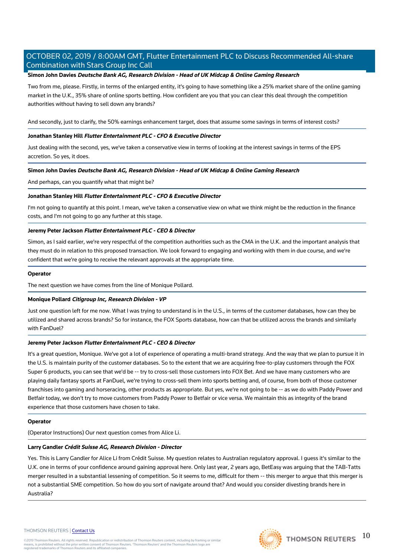# **Simon John Davies Deutsche Bank AG, Research Division - Head of UK Midcap & Online Gaming Research**

Two from me, please. Firstly, in terms of the enlarged entity, it's going to have something like a 25% market share of the online gaming market in the U.K., 35% share of online sports betting. How confident are you that you can clear this deal through the competition authorities without having to sell down any brands?

And secondly, just to clarify, the 50% earnings enhancement target, does that assume some savings in terms of interest costs?

# **Jonathan Stanley Hill Flutter Entertainment PLC - CFO & Executive Director**

Just dealing with the second, yes, we've taken a conservative view in terms of looking at the interest savings in terms of the EPS accretion. So yes, it does.

# **Simon John Davies Deutsche Bank AG, Research Division - Head of UK Midcap & Online Gaming Research**

And perhaps, can you quantify what that might be?

# **Jonathan Stanley Hill Flutter Entertainment PLC - CFO & Executive Director**

I'm not going to quantify at this point. I mean, we've taken a conservative view on what we think might be the reduction in the finance costs, and I'm not going to go any further at this stage.

# **Jeremy Peter Jackson Flutter Entertainment PLC - CEO & Director**

Simon, as I said earlier, we're very respectful of the competition authorities such as the CMA in the U.K. and the important analysis that they must do in relation to this proposed transaction. We look forward to engaging and working with them in due course, and we're confident that we're going to receive the relevant approvals at the appropriate time.

# **Operator**

The next question we have comes from the line of Monique Pollard.

# **Monique Pollard Citigroup Inc, Research Division - VP**

Just one question left for me now. What I was trying to understand is in the U.S., in terms of the customer databases, how can they be utilized and shared across brands? So for instance, the FOX Sports database, how can that be utilized across the brands and similarly with FanDuel?

# **Jeremy Peter Jackson Flutter Entertainment PLC - CEO & Director**

It's a great question, Monique. We've got a lot of experience of operating a multi-brand strategy. And the way that we plan to pursue it in the U.S. is maintain purity of the customer databases. So to the extent that we are acquiring free-to-play customers through the FOX Super 6 products, you can see that we'd be -- try to cross-sell those customers into FOX Bet. And we have many customers who are playing daily fantasy sports at FanDuel, we're trying to cross-sell them into sports betting and, of course, from both of those customer franchises into gaming and horseracing, other products as appropriate. But yes, we're not going to be -- as we do with Paddy Power and Betfair today, we don't try to move customers from Paddy Power to Betfair or vice versa. We maintain this as integrity of the brand experience that those customers have chosen to take.

# **Operator**

(Operator Instructions) Our next question comes from Alice Li.

# **Larry Gandler Crédit Suisse AG, Research Division - Director**

Yes. This is Larry Gandler for Alice Li from Crédit Suisse. My question relates to Australian regulatory approval. I guess it's similar to the U.K. one in terms of your confidence around gaining approval here. Only last year, 2 years ago, BetEasy was arguing that the TAB-Tatts merger resulted in a substantial lessening of competition. So it seems to me, difficult for them -- this merger to argue that this merger is not a substantial SME competition. So how do you sort of navigate around that? And would you consider divesting brands here in Australia?

#### THOMSON REUTERS | [Contact Us](https://my.thomsonreuters.com/ContactUsNew)

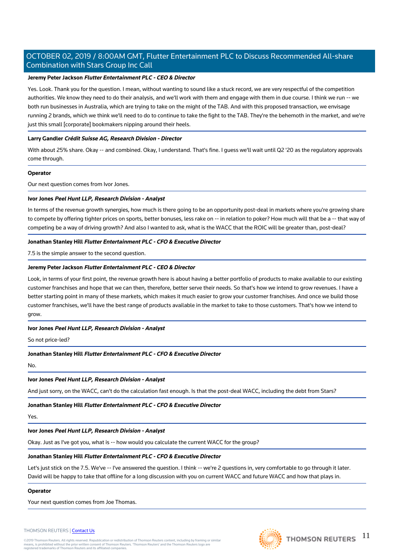# **Jeremy Peter Jackson Flutter Entertainment PLC - CEO & Director**

Yes. Look. Thank you for the question. I mean, without wanting to sound like a stuck record, we are very respectful of the competition authorities. We know they need to do their analysis, and we'll work with them and engage with them in due course. I think we run -- we both run businesses in Australia, which are trying to take on the might of the TAB. And with this proposed transaction, we envisage running 2 brands, which we think we'll need to do to continue to take the fight to the TAB. They're the behemoth in the market, and we're just this small [corporate] bookmakers nipping around their heels.

# **Larry Gandler Crédit Suisse AG, Research Division - Director**

With about 25% share. Okay -- and combined. Okay, I understand. That's fine. I guess we'll wait until Q2 '20 as the regulatory approvals come through.

# **Operator**

Our next question comes from Ivor Jones.

# **Ivor Jones Peel Hunt LLP, Research Division - Analyst**

In terms of the revenue growth synergies, how much is there going to be an opportunity post-deal in markets where you're growing share to compete by offering tighter prices on sports, better bonuses, less rake on -- in relation to poker? How much will that be a -- that way of competing be a way of driving growth? And also I wanted to ask, what is the WACC that the ROIC will be greater than, post-deal?

# **Jonathan Stanley Hill Flutter Entertainment PLC - CFO & Executive Director**

7.5 is the simple answer to the second question.

# **Jeremy Peter Jackson Flutter Entertainment PLC - CEO & Director**

Look, in terms of your first point, the revenue growth here is about having a better portfolio of products to make available to our existing customer franchises and hope that we can then, therefore, better serve their needs. So that's how we intend to grow revenues. I have a better starting point in many of these markets, which makes it much easier to grow your customer franchises. And once we build those customer franchises, we'll have the best range of products available in the market to take to those customers. That's how we intend to grow.

# **Ivor Jones Peel Hunt LLP, Research Division - Analyst**

So not price-led?

# **Jonathan Stanley Hill Flutter Entertainment PLC - CFO & Executive Director**

No.

# **Ivor Jones Peel Hunt LLP, Research Division - Analyst**

And just sorry, on the WACC, can't do the calculation fast enough. Is that the post-deal WACC, including the debt from Stars?

# **Jonathan Stanley Hill Flutter Entertainment PLC - CFO & Executive Director**

Yes.

# **Ivor Jones Peel Hunt LLP, Research Division - Analyst**

Okay. Just as I've got you, what is -- how would you calculate the current WACC for the group?

# **Jonathan Stanley Hill Flutter Entertainment PLC - CFO & Executive Director**

Let's just stick on the 7.5. We've -- I've answered the question. I think -- we're 2 questions in, very comfortable to go through it later. David will be happy to take that offline for a long discussion with you on current WACC and future WACC and how that plays in.

# **Operator**

Your next question comes from Joe Thomas.

#### THOMSON REUTERS | [Contact Us](https://my.thomsonreuters.com/ContactUsNew)